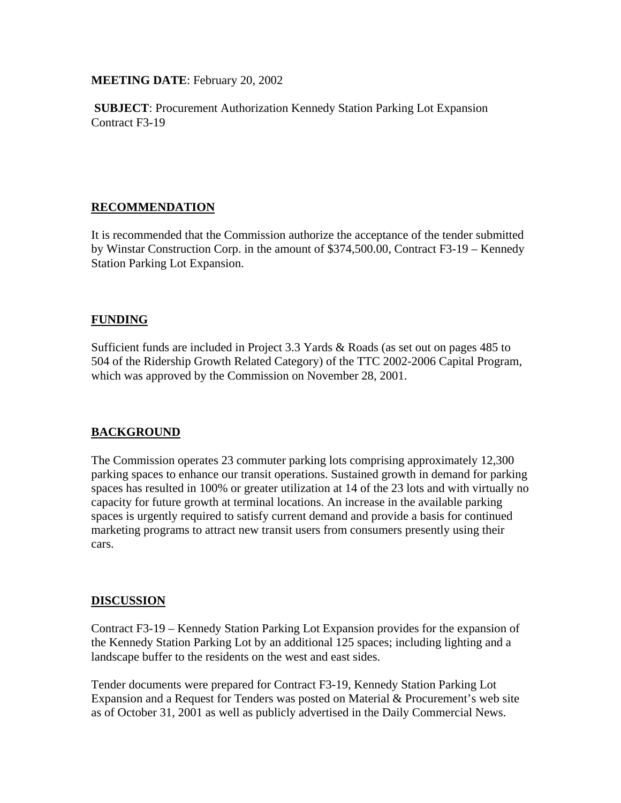**MEETING DATE**: February 20, 2002

**SUBJECT**: Procurement Authorization Kennedy Station Parking Lot Expansion Contract F3-19

# **RECOMMENDATION**

It is recommended that the Commission authorize the acceptance of the tender submitted by Winstar Construction Corp. in the amount of \$374,500.00, Contract F3-19 – Kennedy Station Parking Lot Expansion.

## **FUNDING**

Sufficient funds are included in Project 3.3 Yards & Roads (as set out on pages 485 to 504 of the Ridership Growth Related Category) of the TTC 2002-2006 Capital Program, which was approved by the Commission on November 28, 2001.

## **BACKGROUND**

The Commission operates 23 commuter parking lots comprising approximately 12,300 parking spaces to enhance our transit operations. Sustained growth in demand for parking spaces has resulted in 100% or greater utilization at 14 of the 23 lots and with virtually no capacity for future growth at terminal locations. An increase in the available parking spaces is urgently required to satisfy current demand and provide a basis for continued marketing programs to attract new transit users from consumers presently using their cars.

#### **DISCUSSION**

Contract F3-19 – Kennedy Station Parking Lot Expansion provides for the expansion of the Kennedy Station Parking Lot by an additional 125 spaces; including lighting and a landscape buffer to the residents on the west and east sides.

Tender documents were prepared for Contract F3-19, Kennedy Station Parking Lot Expansion and a Request for Tenders was posted on Material & Procurement's web site as of October 31, 2001 as well as publicly advertised in the Daily Commercial News.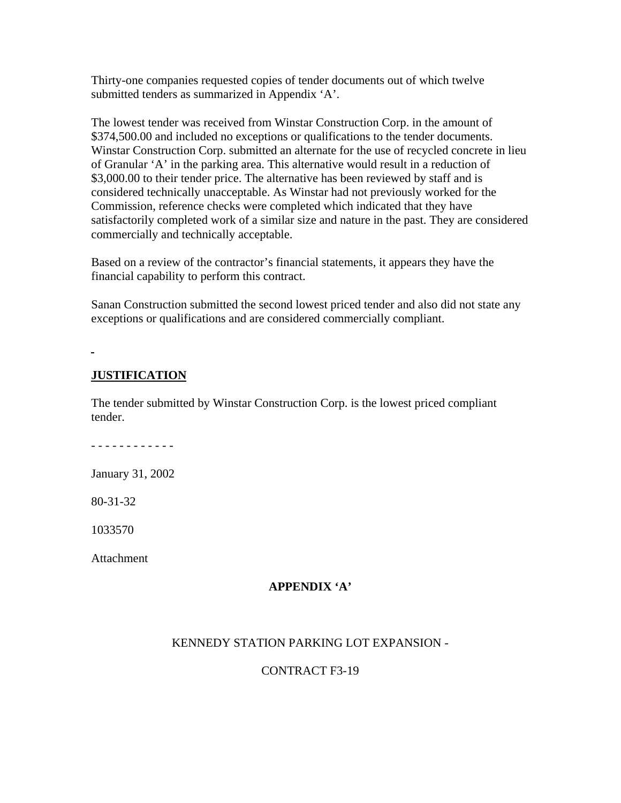Thirty-one companies requested copies of tender documents out of which twelve submitted tenders as summarized in Appendix 'A'.

The lowest tender was received from Winstar Construction Corp. in the amount of \$374,500.00 and included no exceptions or qualifications to the tender documents. Winstar Construction Corp. submitted an alternate for the use of recycled concrete in lieu of Granular 'A' in the parking area. This alternative would result in a reduction of \$3,000.00 to their tender price. The alternative has been reviewed by staff and is considered technically unacceptable. As Winstar had not previously worked for the Commission, reference checks were completed which indicated that they have satisfactorily completed work of a similar size and nature in the past. They are considered commercially and technically acceptable.

Based on a review of the contractor's financial statements, it appears they have the financial capability to perform this contract.

Sanan Construction submitted the second lowest priced tender and also did not state any exceptions or qualifications and are considered commercially compliant.

#### **JUSTIFICATION**

The tender submitted by Winstar Construction Corp. is the lowest priced compliant tender.

- - - - - - - - - - - -

January 31, 2002

80-31-32

1033570

Attachment

#### **APPENDIX 'A'**

#### KENNEDY STATION PARKING LOT EXPANSION -

## CONTRACT F3-19